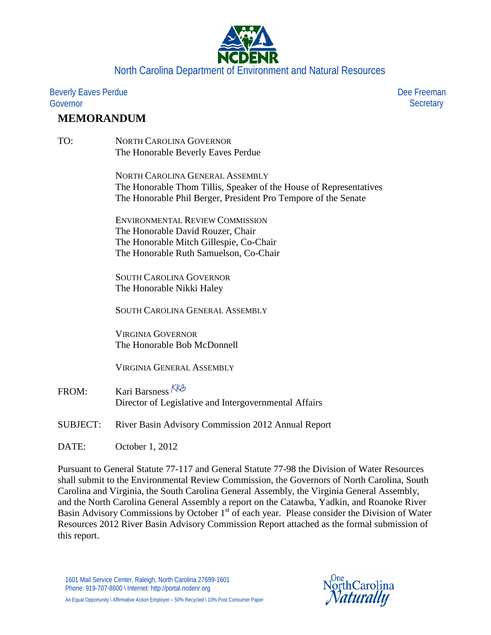

Beverly Eaves Perdue Governor

## **MEMORANDUM**

TO: NORTH CAROLINA GOVERNOR The Honorable Beverly Eaves Perdue

> NORTH CAROLINA GENERAL ASSEMBLY The Honorable Thom Tillis, Speaker of the House of Representatives The Honorable Phil Berger, President Pro Tempore of the Senate

ENVIRONMENTAL REVIEW COMMISSION The Honorable David Rouzer, Chair The Honorable Mitch Gillespie, Co-Chair The Honorable Ruth Samuelson, Co-Chair

SOUTH CAROLINA GOVERNOR The Honorable Nikki Haley

SOUTH CAROLINA GENERAL ASSEMBLY

VIRGINIA GOVERNOR The Honorable Bob McDonnell

VIRGINIA GENERAL ASSEMBLY

- FROM: Kari Barsness KKb Director of Legislative and Intergovernmental Affairs
- SUBJECT: River Basin Advisory Commission 2012 Annual Report

DATE: October 1, 2012

Pursuant to General Statute 77-117 and General Statute 77-98 the Division of Water Resources shall submit to the Environmental Review Commission, the Governors of North Carolina, South Carolina and Virginia, the South Carolina General Assembly, the Virginia General Assembly, and the North Carolina General Assembly a report on the Catawba, Yadkin, and Roanoke River Basin Advisory Commissions by October 1<sup>st</sup> of each year. Please consider the Division of Water Resources 2012 River Basin Advisory Commission Report attached as the formal submission of this report.



 Dee Freeman **Secretary**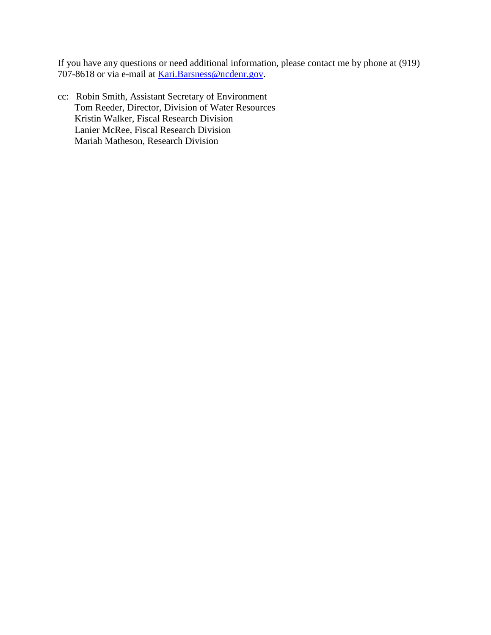If you have any questions or need additional information, please contact me by phone at (919) 707-8618 or via e-mail at [Kari.Barsness@ncdenr.gov.](mailto:Kari.Barsness@ncdenr.gov)

cc: Robin Smith, Assistant Secretary of Environment Tom Reeder, Director, Division of Water Resources Kristin Walker, Fiscal Research Division Lanier McRee, Fiscal Research Division Mariah Matheson, Research Division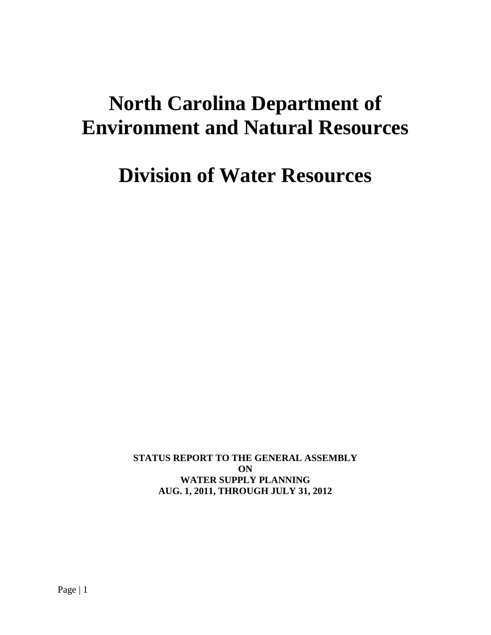# **North Carolina Department of Environment and Natural Resources**

**Division of Water Resources**

**STATUS REPORT TO THE GENERAL ASSEMBLY ON WATER SUPPLY PLANNING AUG. 1, 2011, THROUGH JULY 31, 2012**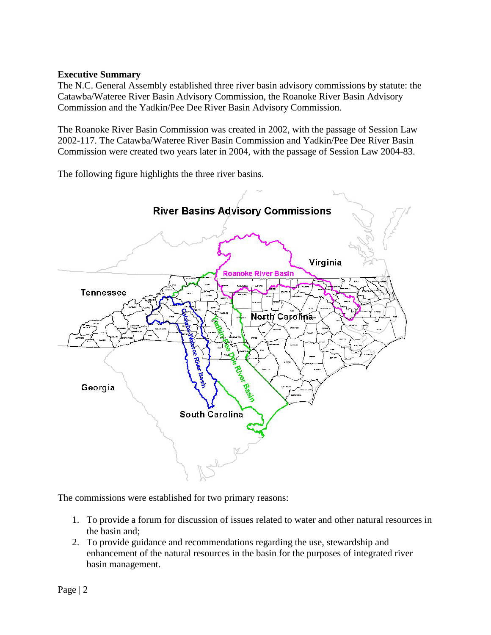### **Executive Summary**

The N.C. General Assembly established three river basin advisory commissions by statute: the Catawba/Wateree River Basin Advisory Commission, the Roanoke River Basin Advisory Commission and the Yadkin/Pee Dee River Basin Advisory Commission.

The Roanoke River Basin Commission was created in 2002, with the passage of Session Law 2002-117. The Catawba/Wateree River Basin Commission and Yadkin/Pee Dee River Basin Commission were created two years later in 2004, with the passage of Session Law 2004-83.

The following figure highlights the three river basins.



The commissions were established for two primary reasons:

- 1. To provide a forum for discussion of issues related to water and other natural resources in the basin and;
- 2. To provide guidance and recommendations regarding the use, stewardship and enhancement of the natural resources in the basin for the purposes of integrated river basin management.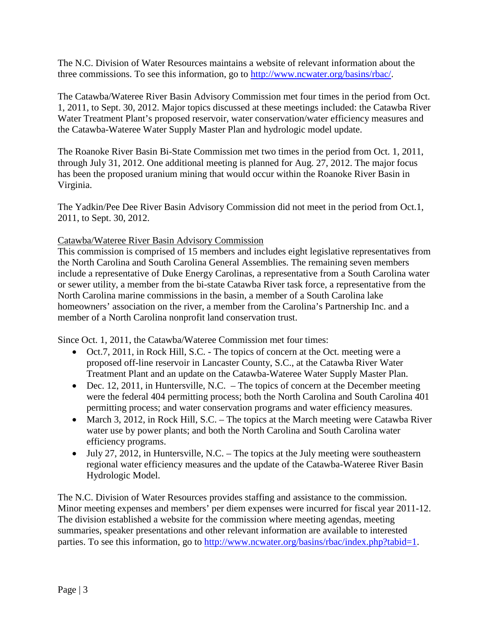The N.C. Division of Water Resources maintains a website of relevant information about the three commissions. To see this information, go to [http://www.ncwater.org/basins/rbac/.](http://www.ncwater.org/basins/rbac/)

The Catawba/Wateree River Basin Advisory Commission met four times in the period from Oct. 1, 2011, to Sept. 30, 2012. Major topics discussed at these meetings included: the Catawba River Water Treatment Plant's proposed reservoir, water conservation/water efficiency measures and the Catawba-Wateree Water Supply Master Plan and hydrologic model update.

The Roanoke River Basin Bi-State Commission met two times in the period from Oct. 1, 2011, through July 31, 2012. One additional meeting is planned for Aug. 27, 2012. The major focus has been the proposed uranium mining that would occur within the Roanoke River Basin in Virginia.

The Yadkin/Pee Dee River Basin Advisory Commission did not meet in the period from Oct.1, 2011, to Sept. 30, 2012.

### Catawba/Wateree River Basin Advisory Commission

This commission is comprised of 15 members and includes eight legislative representatives from the North Carolina and South Carolina General Assemblies. The remaining seven members include a representative of Duke Energy Carolinas, a representative from a South Carolina water or sewer utility, a member from the bi-state Catawba River task force, a representative from the North Carolina marine commissions in the basin, a member of a South Carolina lake homeowners' association on the river, a member from the Carolina's Partnership Inc. and a member of a North Carolina nonprofit land conservation trust.

Since Oct. 1, 2011, the Catawba/Wateree Commission met four times:

- Oct.7, 2011, in Rock Hill, S.C. The topics of concern at the Oct. meeting were a proposed off-line reservoir in Lancaster County, S.C., at the Catawba River Water Treatment Plant and an update on the Catawba-Wateree Water Supply Master Plan.
- Dec. 12, 2011, in Huntersville, N.C.  $-$  The topics of concern at the December meeting were the federal 404 permitting process; both the North Carolina and South Carolina 401 permitting process; and water conservation programs and water efficiency measures.
- March 3, 2012, in Rock Hill, S.C. The topics at the March meeting were Catawba River water use by power plants; and both the North Carolina and South Carolina water efficiency programs.
- July 27, 2012, in Huntersville, N.C. The topics at the July meeting were southeastern regional water efficiency measures and the update of the Catawba-Wateree River Basin Hydrologic Model.

The N.C. Division of Water Resources provides staffing and assistance to the commission. Minor meeting expenses and members' per diem expenses were incurred for fiscal year 2011-12. The division established a website for the commission where meeting agendas, meeting summaries, speaker presentations and other relevant information are available to interested parties. To see this information, go to [http://www.ncwater.org/basins/rbac/index.php?tabid=1.](http://www.ncwater.org/basins/rbac/index.php?tabid=1)